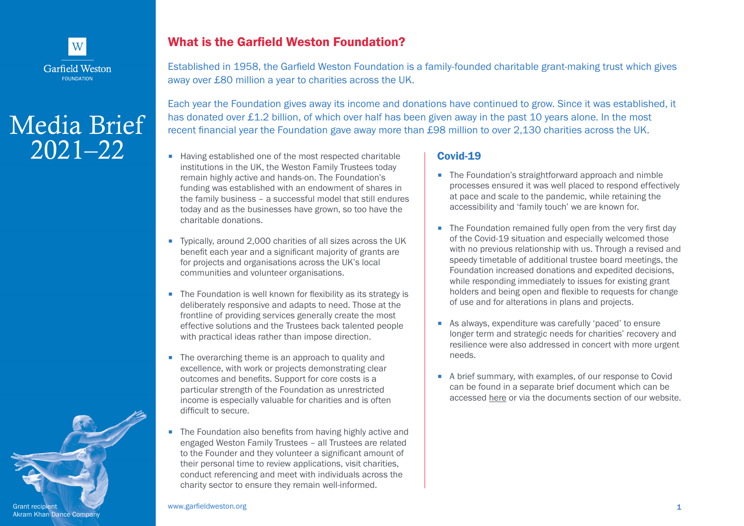

## Media Brief 2021–22



Established in 1958, the Garfield Weston Foundation is a family-founded charitable grant-making trust which gives away over £80 million a year to charities across the UK.

Each year the Foundation gives away its income and donations have continued to grow. Since it was established, it has donated over £1.2 billion, of which over half has been given away in the past 10 years alone. In the most recent financial year the Foundation gave away more than £98 million to over 2,130 charities across the UK.

- Having established one of the most respected charitable institutions in the UK, the Weston Family Trustees today remain highly active and hands-on. The Foundation's funding was established with an endowment of shares in the family business – a successful model that still endures today and as the businesses have grown, so too have the charitable donations.
- Typically, around 2,000 charities of all sizes across the UK benefit each year and a significant majority of grants are for projects and organisations across the UK's local communities and volunteer organisations.
- The Foundation is well known for flexibility as its strategy is deliberately responsive and adapts to need. Those at the frontline of providing services generally create the most effective solutions and the Trustees back talented people with practical ideas rather than impose direction.
- The overarching theme is an approach to quality and excellence, with work or projects demonstrating clear outcomes and benefits. Support for core costs is a particular strength of the Foundation as unrestricted income is especially valuable for charities and is often difficult to secure.
- The Foundation also benefits from having highly active and engaged Weston Family Trustees – all Trustees are related to the Founder and they volunteer a significant amount of their personal time to review applications, visit charities, conduct referencing and meet with individuals across the charity sector to ensure they remain well-informed.

## Covid-19

- The Foundation's straightforward approach and nimble processes ensured it was well placed to respond effectively at pace and scale to the pandemic, while retaining the accessibility and 'family touch' we are known for.
- The Foundation remained fully open from the very first day of the Covid-19 situation and especially welcomed those with no previous relationship with us. Through a revised and speedy timetable of additional trustee board meetings, the Foundation increased donations and expedited decisions, while responding immediately to issues for existing grant holders and being open and flexible to requests for change of use and for alterations in plans and projects.
- As always, expenditure was carefully 'paced' to ensure longer term and strategic needs for charities' recovery and resilience were also addressed in concert with more urgent needs.
- A brief summary, with examples, of our response to Covid can be found in a separate brief document which can be accessed [here](https://garfieldweston.org/wp-content/uploads/2021/07/A-Covid-19-Experience-landscape-Printable.pdf) or via the documents section of our website.

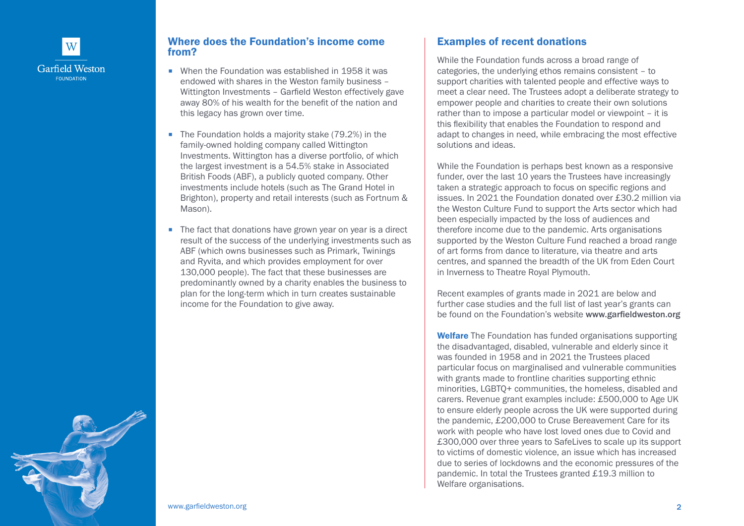

## Where does the Foundation's income come from?

- When the Foundation was established in 1958 it was endowed with shares in the Weston family business – Wittington Investments – Garfield Weston effectively gave away 80% of his wealth for the benefit of the nation and this legacy has grown over time.
- The Foundation holds a majority stake (79.2%) in the family-owned holding company called Wittington Investments. Wittington has a diverse portfolio, of which the largest investment is a 54.5% stake in Associated British Foods (ABF), a publicly quoted company. Other investments include hotels (such as The Grand Hotel in Brighton), property and retail interests (such as Fortnum & Mason).
- The fact that donations have grown year on year is a direct result of the success of the underlying investments such as ABF (which owns businesses such as Primark, Twinings and Ryvita, and which provides employment for over 130,000 people). The fact that these businesses are predominantly owned by a charity enables the business to plan for the long-term which in turn creates sustainable income for the Foundation to give away.

## Examples of recent donations

While the Foundation funds across a broad range of categories, the underlying ethos remains consistent – to support charities with talented people and effective ways to meet a clear need. The Trustees adopt a deliberate strategy to empower people and charities to create their own solutions rather than to impose a particular model or viewpoint – it is this flexibility that enables the Foundation to respond and adapt to changes in need, while embracing the most effective solutions and ideas.

While the Foundation is perhaps best known as a responsive funder, over the last 10 years the Trustees have increasingly taken a strategic approach to focus on specific regions and issues. In 2021 the Foundation donated over £30.2 million via the Weston Culture Fund to support the Arts sector which had been especially impacted by the loss of audiences and therefore income due to the pandemic. Arts organisations supported by the Weston Culture Fund reached a broad range of art forms from dance to literature, via theatre and arts centres, and spanned the breadth of the UK from Eden Court in Inverness to Theatre Royal Plymouth.

Recent examples of grants made in 2021 are below and further case studies and the full list of last year's grants can be found on the Foundation's website [www.garfieldweston.org](https://www.garfieldweston.org)

Welfare The Foundation has funded organisations supporting the disadvantaged, disabled, vulnerable and elderly since it was founded in 1958 and in 2021 the Trustees placed particular focus on marginalised and vulnerable communities with grants made to frontline charities supporting ethnic minorities, LGBTQ+ communities, the homeless, disabled and carers. Revenue grant examples include: £500,000 to Age UK to ensure elderly people across the UK were supported during the pandemic, £200,000 to Cruse Bereavement Care for its work with people who have lost loved ones due to Covid and £300,000 over three years to SafeLives to scale up its support to victims of domestic violence, an issue which has increased due to series of lockdowns and the economic pressures of the pandemic. In total the Trustees granted £19.3 million to Welfare organisations.